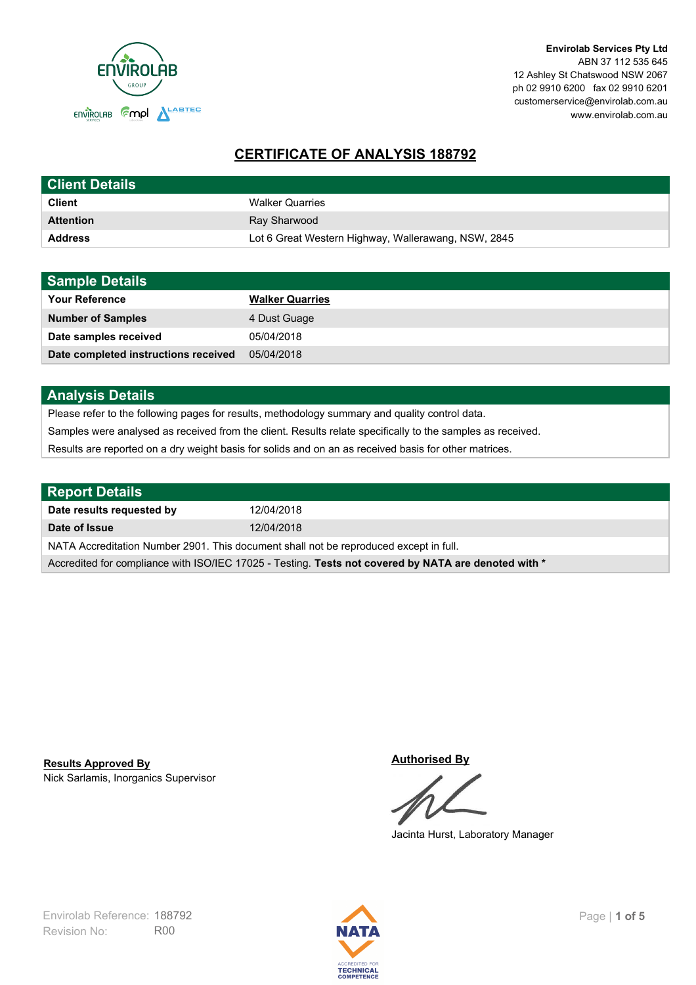

# **CERTIFICATE OF ANALYSIS 188792**

| <b>Client Details</b> |                                                     |
|-----------------------|-----------------------------------------------------|
| <b>Client</b>         | <b>Walker Quarries</b>                              |
| <b>Attention</b>      | Ray Sharwood                                        |
| <b>Address</b>        | Lot 6 Great Western Highway, Wallerawang, NSW, 2845 |

| <b>Sample Details</b>                |                        |
|--------------------------------------|------------------------|
| <b>Your Reference</b>                | <b>Walker Quarries</b> |
| <b>Number of Samples</b>             | 4 Dust Guage           |
| Date samples received                | 05/04/2018             |
| Date completed instructions received | 05/04/2018             |

# **Analysis Details**

Please refer to the following pages for results, methodology summary and quality control data.

Samples were analysed as received from the client. Results relate specifically to the samples as received.

Results are reported on a dry weight basis for solids and on an as received basis for other matrices.

| Report Details                                                                                       |            |  |
|------------------------------------------------------------------------------------------------------|------------|--|
| Date results requested by                                                                            | 12/04/2018 |  |
| Date of Issue                                                                                        | 12/04/2018 |  |
| NATA Accreditation Number 2901. This document shall not be reproduced except in full.                |            |  |
| Accredited for compliance with ISO/IEC 17025 - Testing. Tests not covered by NATA are denoted with * |            |  |

Nick Sarlamis, Inorganics Supervisor **Results Approved By**

**Authorised By**

Jacinta Hurst, Laboratory Manager

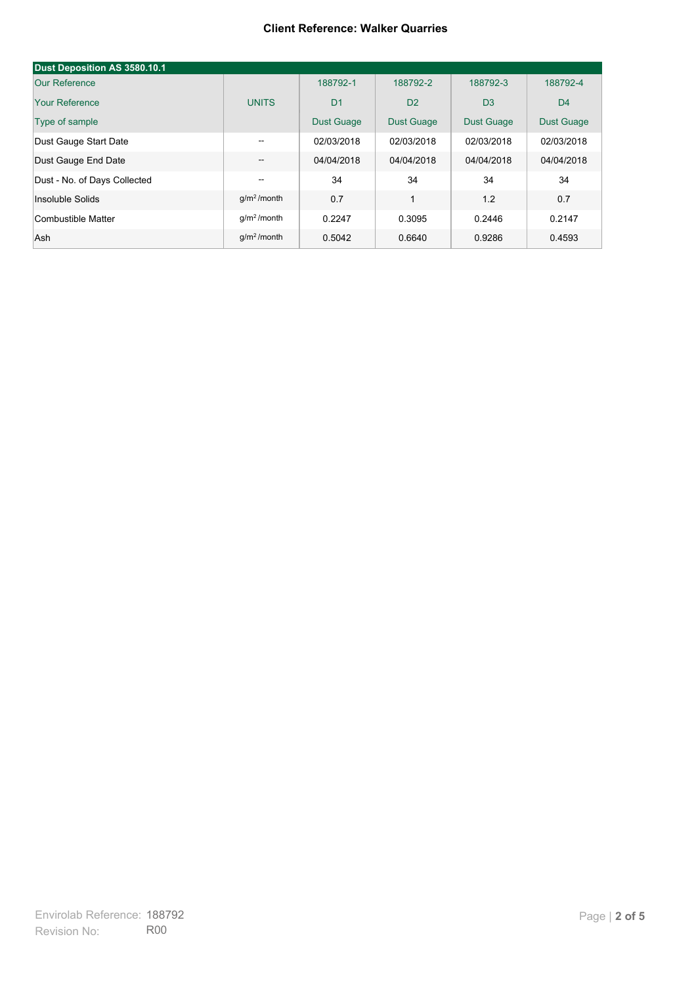#### **Client Reference: Walker Quarries**

| Dust Deposition AS 3580.10.1 |                         |                   |                   |                   |                   |
|------------------------------|-------------------------|-------------------|-------------------|-------------------|-------------------|
| Our Reference                |                         | 188792-1          | 188792-2          | 188792-3          | 188792-4          |
| Your Reference               | <b>UNITS</b>            | D <sub>1</sub>    | D <sub>2</sub>    | D <sub>3</sub>    | D <sub>4</sub>    |
| Type of sample               |                         | <b>Dust Guage</b> | <b>Dust Guage</b> | <b>Dust Guage</b> | <b>Dust Guage</b> |
| Dust Gauge Start Date        | $- -$                   | 02/03/2018        | 02/03/2018        | 02/03/2018        | 02/03/2018        |
| Dust Gauge End Date          | --                      | 04/04/2018        | 04/04/2018        | 04/04/2018        | 04/04/2018        |
| Dust - No. of Days Collected | --                      | 34                | 34                | 34                | 34                |
| Insoluble Solids             | $q/m2$ /month           | 0.7               | $\mathbf{1}$      | 1.2               | 0.7               |
| Combustible Matter           | q/m <sup>2</sup> /month | 0.2247            | 0.3095            | 0.2446            | 0.2147            |
| Ash                          | $q/m2$ /month           | 0.5042            | 0.6640            | 0.9286            | 0.4593            |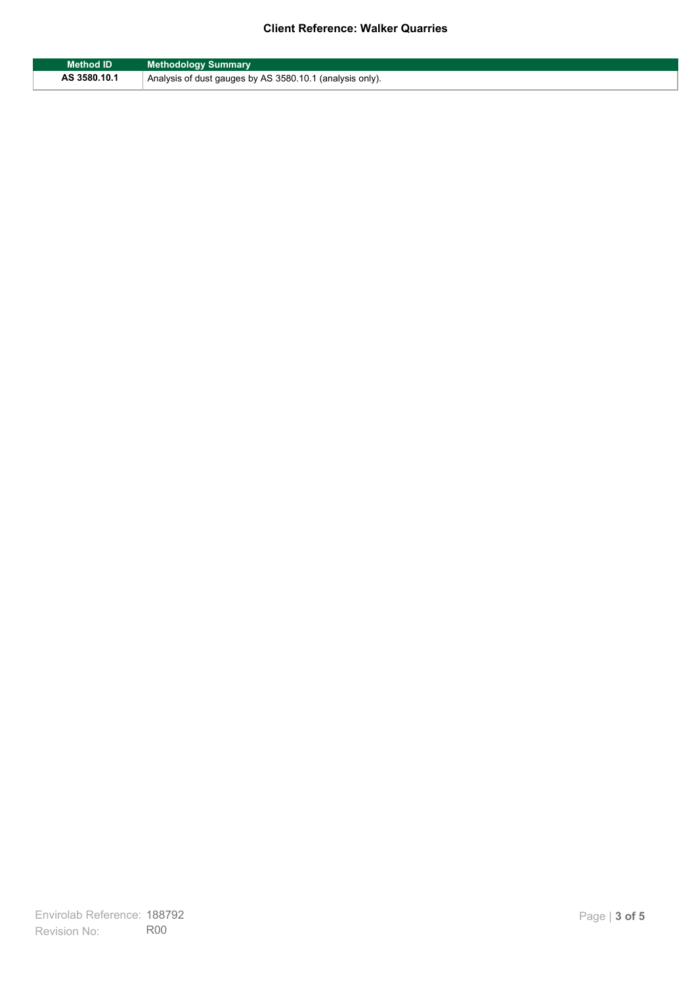### **Client Reference: Walker Quarries**

| <b>Method ID</b> | <b>Methodology Summary</b>                               |
|------------------|----------------------------------------------------------|
| AS 3580.10.1     | Analysis of dust gauges by AS 3580.10.1 (analysis only). |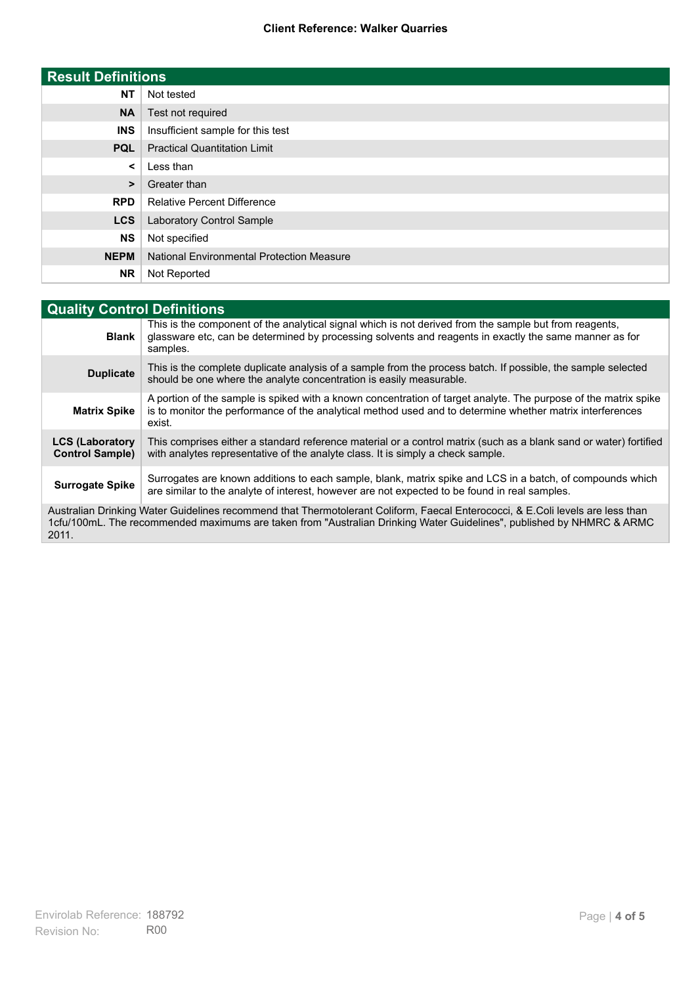### **Client Reference: Walker Quarries**

| <b>Result Definitions</b> |                                                  |
|---------------------------|--------------------------------------------------|
| <b>NT</b>                 | Not tested                                       |
| <b>NA</b>                 | Test not required                                |
| <b>INS</b>                | Insufficient sample for this test                |
| <b>PQL</b>                | <b>Practical Quantitation Limit</b>              |
| ≺                         | Less than                                        |
| >                         | Greater than                                     |
| <b>RPD</b>                | <b>Relative Percent Difference</b>               |
| <b>LCS</b>                | Laboratory Control Sample                        |
| <b>NS</b>                 | Not specified                                    |
| <b>NEPM</b>               | <b>National Environmental Protection Measure</b> |
| <b>NR</b>                 | Not Reported                                     |

| <b>Quality Control Definitions</b>                                                                                                                                                                                                                      |                                                                                                                                                                                                                                        |  |
|---------------------------------------------------------------------------------------------------------------------------------------------------------------------------------------------------------------------------------------------------------|----------------------------------------------------------------------------------------------------------------------------------------------------------------------------------------------------------------------------------------|--|
| <b>Blank</b>                                                                                                                                                                                                                                            | This is the component of the analytical signal which is not derived from the sample but from reagents,<br>glassware etc, can be determined by processing solvents and reagents in exactly the same manner as for<br>samples.           |  |
| <b>Duplicate</b>                                                                                                                                                                                                                                        | This is the complete duplicate analysis of a sample from the process batch. If possible, the sample selected<br>should be one where the analyte concentration is easily measurable.                                                    |  |
| <b>Matrix Spike</b>                                                                                                                                                                                                                                     | A portion of the sample is spiked with a known concentration of target analyte. The purpose of the matrix spike<br>is to monitor the performance of the analytical method used and to determine whether matrix interferences<br>exist. |  |
| <b>LCS (Laboratory</b><br><b>Control Sample)</b>                                                                                                                                                                                                        | This comprises either a standard reference material or a control matrix (such as a blank sand or water) fortified<br>with analytes representative of the analyte class. It is simply a check sample.                                   |  |
| <b>Surrogate Spike</b>                                                                                                                                                                                                                                  | Surrogates are known additions to each sample, blank, matrix spike and LCS in a batch, of compounds which<br>are similar to the analyte of interest, however are not expected to be found in real samples.                             |  |
| Australian Drinking Water Guidelines recommend that Thermotolerant Coliform, Faecal Enterococci, & E.Coli levels are less than<br>1cfu/100mL. The recommended maximums are taken from "Australian Drinking Water Guidelines", published by NHMRC & ARMC |                                                                                                                                                                                                                                        |  |

2011.